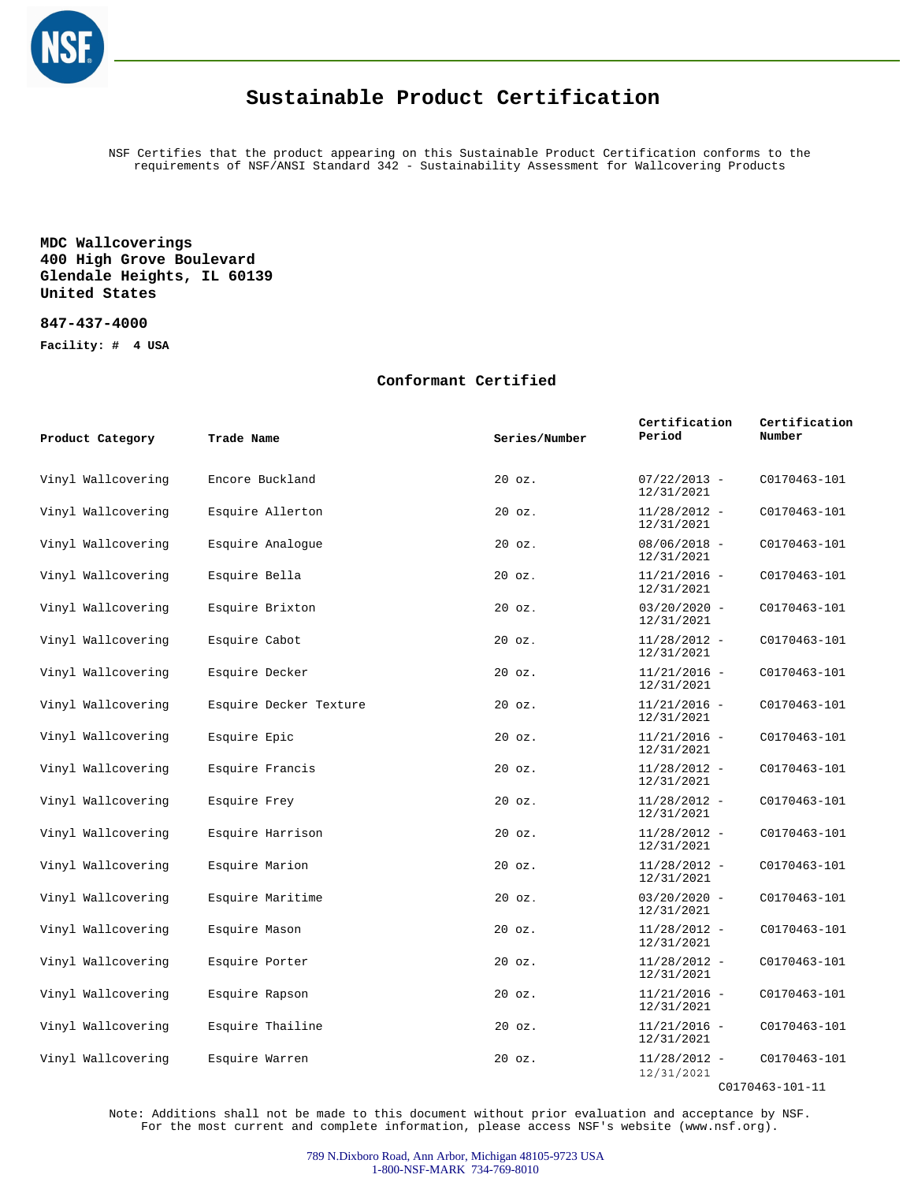

## **Sustainable Product Certification**

NSF Certifies that the product appearing on this Sustainable Product Certification conforms to the requirements of NSF/ANSI Standard 342 - Sustainability Assessment for Wallcovering Products

### **MDC Wallcoverings 400 High Grove Boulevard Glendale Heights, IL 60139 United States**

#### **847-437-4000**

**Facility: # 4 USA**

#### **Conformant Certified**

| Product Category   | Trade Name             | Series/Number | Certification<br>Period      | Certification<br>Number |
|--------------------|------------------------|---------------|------------------------------|-------------------------|
| Vinyl Wallcovering | Encore Buckland        | $20$ $oz.$    | $07/22/2013 -$<br>12/31/2021 | C0170463-101            |
| Vinyl Wallcovering | Esquire Allerton       | $20$ $oz.$    | $11/28/2012 -$<br>12/31/2021 | C0170463-101            |
| Vinyl Wallcovering | Esquire Analoque       | $20$ $oz.$    | $08/06/2018 -$<br>12/31/2021 | C0170463-101            |
| Vinyl Wallcovering | Esquire Bella          | $20$ $oz.$    | $11/21/2016 -$<br>12/31/2021 | C0170463-101            |
| Vinyl Wallcovering | Esquire Brixton        | $20$ $oz.$    | $03/20/2020 -$<br>12/31/2021 | C0170463-101            |
| Vinyl Wallcovering | Esquire Cabot          | $20$ $oz.$    | $11/28/2012 -$<br>12/31/2021 | C0170463-101            |
| Vinyl Wallcovering | Esquire Decker         | $20$ $oz.$    | $11/21/2016$ -<br>12/31/2021 | C0170463-101            |
| Vinyl Wallcovering | Esquire Decker Texture | $20$ $oz.$    | $11/21/2016 -$<br>12/31/2021 | C0170463-101            |
| Vinyl Wallcovering | Esquire Epic           | $20$ $oz.$    | $11/21/2016 -$<br>12/31/2021 | C0170463-101            |
| Vinyl Wallcovering | Esquire Francis        | $20$ $oz.$    | $11/28/2012 -$<br>12/31/2021 | C0170463-101            |
| Vinyl Wallcovering | Esquire Frey           | $20$ $oz.$    | $11/28/2012 -$<br>12/31/2021 | C0170463-101            |
| Vinyl Wallcovering | Esquire Harrison       | $20$ $oz.$    | $11/28/2012 -$<br>12/31/2021 | C0170463-101            |
| Vinyl Wallcovering | Esquire Marion         | $20$ $oz.$    | $11/28/2012 -$<br>12/31/2021 | C0170463-101            |
| Vinyl Wallcovering | Esquire Maritime       | $20$ $oz.$    | $03/20/2020 -$<br>12/31/2021 | C0170463-101            |
| Vinyl Wallcovering | Esquire Mason          | $20$ $oz.$    | $11/28/2012 -$<br>12/31/2021 | C0170463-101            |
| Vinyl Wallcovering | Esquire Porter         | $20$ $oz.$    | $11/28/2012 -$<br>12/31/2021 | C0170463-101            |
| Vinyl Wallcovering | Esquire Rapson         | $20$ $oz.$    | $11/21/2016 -$<br>12/31/2021 | C0170463-101            |
| Vinyl Wallcovering | Esquire Thailine       | $20$ $oz.$    | $11/21/2016 -$<br>12/31/2021 | C0170463-101            |
| Vinyl Wallcovering | Esquire Warren         | $20$ $oz.$    | $11/28/2012 -$<br>12/31/2021 | C0170463-101            |

C0170463-101-11

Note: Additions shall not be made to this document without prior evaluation and acceptance by NSF. For the most current and complete information, please access NSF's website (www.nsf.org).